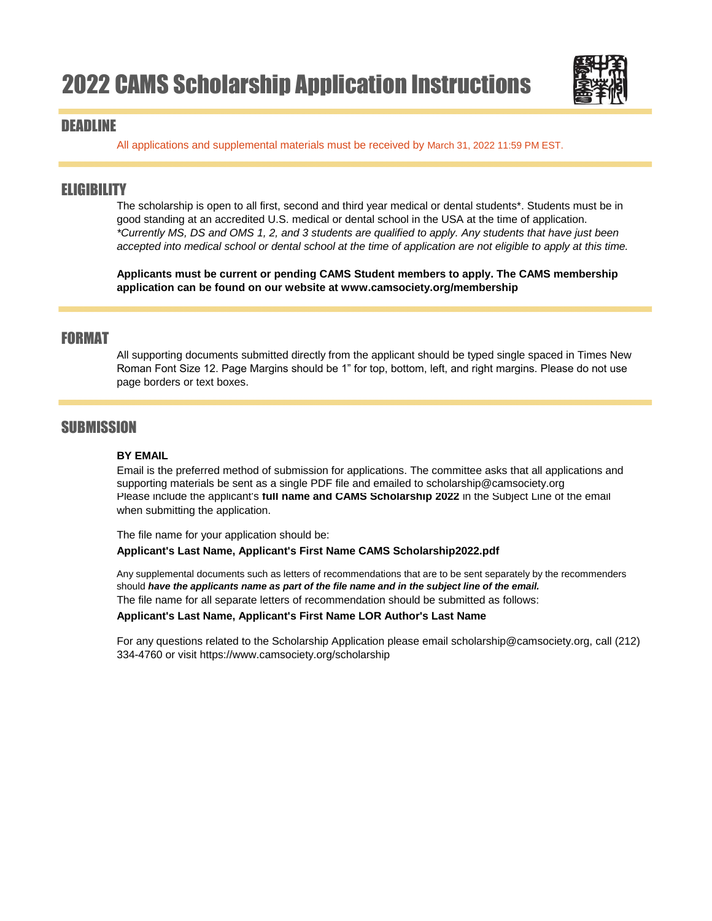

### DEADLINE

All applications and supplemental materials must be received by March 31, 2022 11:59 PM EST.

## **ELIGIBILITY**

The scholarship is open to all first, second and third year medical or dental students\*. Students must be in good standing at an accredited U.S. medical or dental school in the USA at the time of application. *\*Currently MS, DS and OMS 1, 2, and 3 students are qualified to apply. Any students that have just been accepted into medical school or dental school at the time of application are not eligible to apply at this time.*

**Applicants must be current or pending CAMS Student members to apply. The CAMS membership application can be found on our website at www.camsociety.org/membership**

## FORMAT

All supporting documents submitted directly from the applicant should be typed single spaced in Times New Roman Font Size 12. Page Margins should be 1" for top, bottom, left, and right margins. Please do not use page borders or text boxes.

## **SUBMISSION**

#### **BY EMAIL**

Please include the applicant's **full name and CAMS Scholarship 2022** in the Subject Line of the email when submitting the application. Email is the preferred method of submission for applications. The committee asks that all applications and supporting materials be sent as a single PDF file and emailed to scholarship@camsociety.org

The file name for your application should be:

#### **Applicant's Last Name, Applicant's First Name CAMS Scholarship2022.pdf**

The file name for all separate letters of recommendation should be submitted as follows: Any supplemental documents such as letters of recommendations that are to be sent separately by the recommenders should *have the applicants name as part of the file name and in the subject line of the email.* 

#### **Applicant's Last Name, Applicant's First Name LOR Author's Last Name**

For any questions related to the Scholarship Application please email scholarship@camsociety.org, call (212) 334-4760 or visit https://www.camsociety.org/scholarship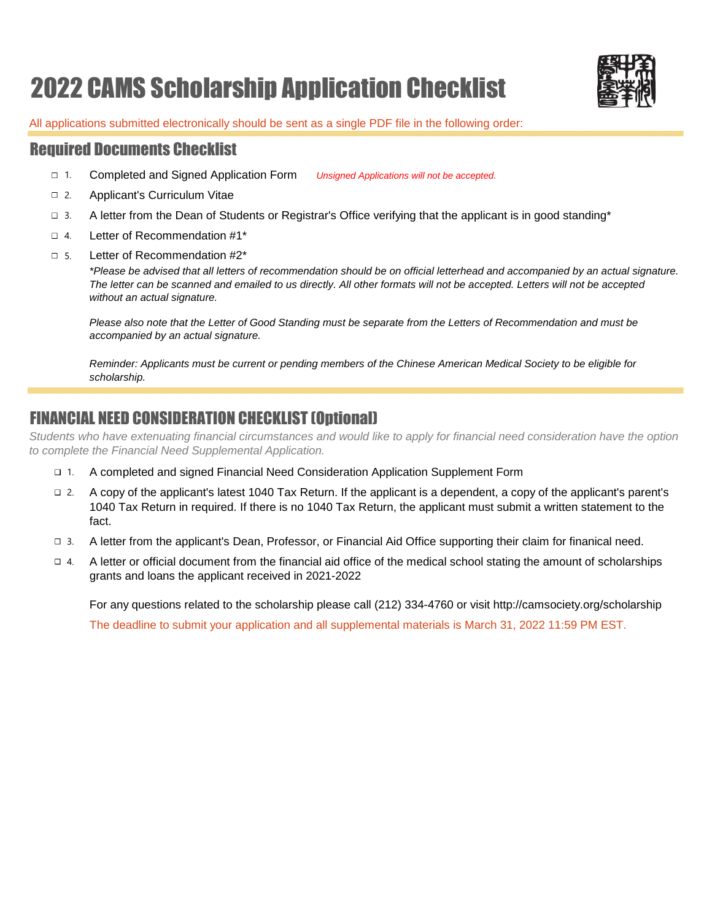# 2022 CAMS Scholarship Application Checklist



All applications submitted electronically should be sent as a single PDF file in the following order:

## Required Documents Checklist

- Completed and Signed Application Form *Unsigned Applications will not be accepted.*  $\Box$  1.
	-
- Applicant's Curriculum Vitae  $\Box$  2
- A letter from the Dean of Students or Registrar's Office verifying that the applicant is in good standing\*  $\Box$  3.
- Letter of Recommendation #1\*  $\Box$  4.
- Letter of Recommendation #2\*  $\Box$  5.

*\*Please be advised that all letters of recommendation should be on official letterhead and accompanied by an actual signature. The letter can be scanned and emailed to us directly. All other formats will not be accepted. Letters will not be accepted without an actual signature.*

*Please also note that the Letter of Good Standing must be separate from the Letters of Recommendation and must be accompanied by an actual signature.*

*Reminder: Applicants must be current or pending members of the Chinese American Medical Society to be eligible for scholarship.*

# FINANCIAL NEED CONSIDERATION CHECKLIST (Optional)

*Students who have extenuating financial circumstances and would like to apply for financial need consideration have the option to complete the Financial Need Supplemental Application.* 

- A completed and signed Financial Need Consideration Application Supplement Form  $\Box$  1.
- A copy of the applicant's latest 1040 Tax Return. If the applicant is a dependent, a copy of the applicant's parent's 1040 Tax Return in required. If there is no 1040 Tax Return, the applicant must submit a written statement to the fact.  $\Box$  2
- A letter from the applicant's Dean, Professor, or Financial Aid Office supporting their claim for finanical need. 3.
- A letter or official document from the financial aid office of the medical school stating the amount of scholarships grants and loans the applicant received in 2021-2022  $\Box$  4.

For any questions related to the scholarship please call (212) 334-4760 or visit http://camsociety.org/scholarship The deadline to submit your application and all supplemental materials is March 31, 2022 11:59 PM EST.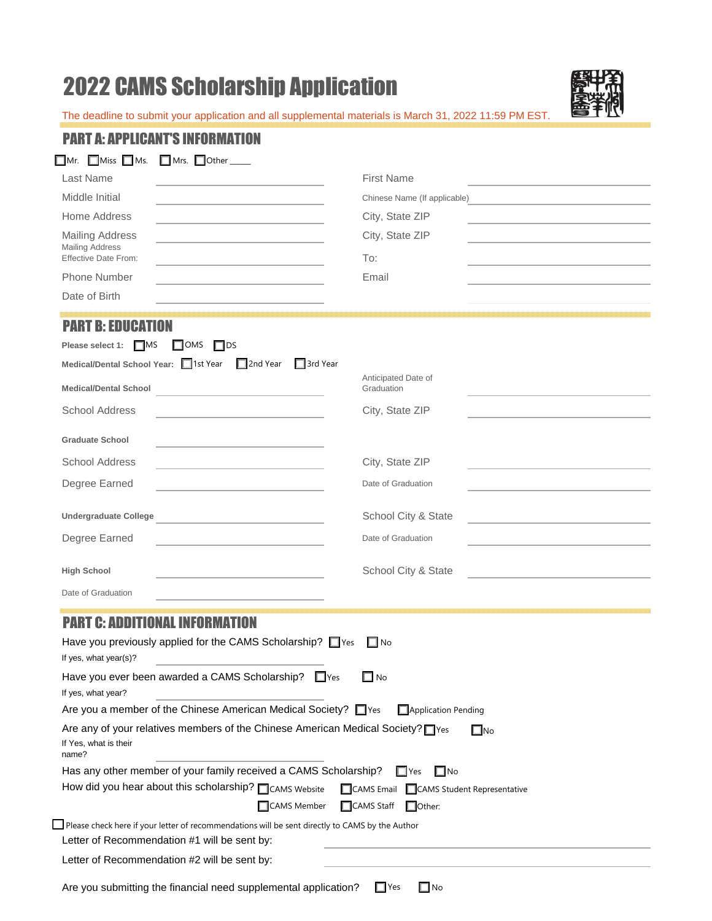# 2022 CAMS Scholarship Application



The deadline to submit your application and all supplemental materials is March 31, 2022 11:59 PM EST.

| PART A: APPLICANT'S INFORI                                                                                                                                                                                                                          |                                                           |  |                                   |  |  |  |
|-----------------------------------------------------------------------------------------------------------------------------------------------------------------------------------------------------------------------------------------------------|-----------------------------------------------------------|--|-----------------------------------|--|--|--|
| $\square$ Miss $\square$ Ms.<br>$\Box$ Mr.                                                                                                                                                                                                          | Mrs. Other _____                                          |  |                                   |  |  |  |
| Last Name                                                                                                                                                                                                                                           |                                                           |  | <b>First Name</b>                 |  |  |  |
| Middle Initial                                                                                                                                                                                                                                      |                                                           |  | Chinese Name (If applicable)      |  |  |  |
| Home Address                                                                                                                                                                                                                                        |                                                           |  | City, State ZIP                   |  |  |  |
| <b>Mailing Address</b><br><b>Mailing Address</b>                                                                                                                                                                                                    |                                                           |  | City, State ZIP                   |  |  |  |
| Effective Date From:<br>Phone Number                                                                                                                                                                                                                |                                                           |  | To:<br>Email                      |  |  |  |
| Date of Birth                                                                                                                                                                                                                                       |                                                           |  |                                   |  |  |  |
|                                                                                                                                                                                                                                                     |                                                           |  |                                   |  |  |  |
| <b>PART B: EDUCATION</b>                                                                                                                                                                                                                            |                                                           |  |                                   |  |  |  |
| Please select 1: □ MS                                                                                                                                                                                                                               | $\Box$ OMS<br>$\Box$ DS                                   |  |                                   |  |  |  |
| Medical/Dental School Year: 1st Year                                                                                                                                                                                                                | $\Box$ 2nd Year<br>$\Box$ 3rd Year                        |  |                                   |  |  |  |
| <b>Medical/Dental School</b>                                                                                                                                                                                                                        |                                                           |  | Anticipated Date of<br>Graduation |  |  |  |
| <b>School Address</b>                                                                                                                                                                                                                               |                                                           |  | City, State ZIP                   |  |  |  |
| <b>Graduate School</b>                                                                                                                                                                                                                              |                                                           |  |                                   |  |  |  |
| <b>School Address</b>                                                                                                                                                                                                                               |                                                           |  | City, State ZIP                   |  |  |  |
| Degree Earned                                                                                                                                                                                                                                       |                                                           |  | Date of Graduation                |  |  |  |
| <b>Undergraduate College</b>                                                                                                                                                                                                                        | <u> 1989 - Andrea Andrew Maria (h. 1989).</u>             |  | School City & State               |  |  |  |
| Degree Earned                                                                                                                                                                                                                                       |                                                           |  | Date of Graduation                |  |  |  |
| <b>High School</b>                                                                                                                                                                                                                                  |                                                           |  | School City & State               |  |  |  |
| Date of Graduation                                                                                                                                                                                                                                  |                                                           |  |                                   |  |  |  |
| <b>PART C: ADDITIONAL INFORMATION</b>                                                                                                                                                                                                               |                                                           |  |                                   |  |  |  |
| If yes, what year(s)?                                                                                                                                                                                                                               | Have you previously applied for the CAMS Scholarship? Ves |  | $\Box$ No                         |  |  |  |
| Have you ever been awarded a CAMS Scholarship? Fores<br>$\square$ No<br>If yes, what year?                                                                                                                                                          |                                                           |  |                                   |  |  |  |
| Are you a member of the Chinese American Medical Society? Ves<br>Application Pending                                                                                                                                                                |                                                           |  |                                   |  |  |  |
| Are any of your relatives members of the Chinese American Medical Society? Thes<br>$\square$ No<br>If Yes, what is their<br>name?                                                                                                                   |                                                           |  |                                   |  |  |  |
| Has any other member of your family received a CAMS Scholarship?<br>$\square$ No<br>$\Box$ Yes<br>How did you hear about this scholarship? CAMS Website<br>CAMS Email<br>CAMS Student Representative<br>CAMS Member<br>□CAMS Staff<br>$\Box$ Other: |                                                           |  |                                   |  |  |  |
| Please check here if your letter of recommendations will be sent directly to CAMS by the Author<br>Letter of Recommendation #1 will be sent by:                                                                                                     |                                                           |  |                                   |  |  |  |
| Letter of Recommendation #2 will be sent by:                                                                                                                                                                                                        |                                                           |  |                                   |  |  |  |
|                                                                                                                                                                                                                                                     |                                                           |  |                                   |  |  |  |

Are you submitting the financial need supplemental application?  $\Box$  Yes  $\Box$  No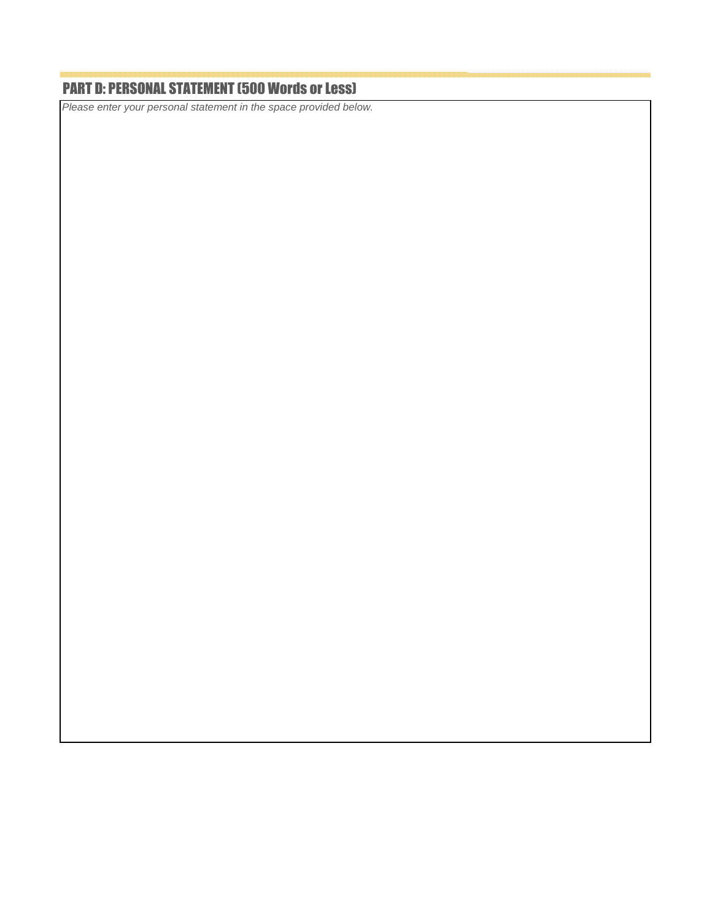# PART D: PERSONAL STATEMENT (500 Words or Less)

*Please enter your personal statement in the space provided below.*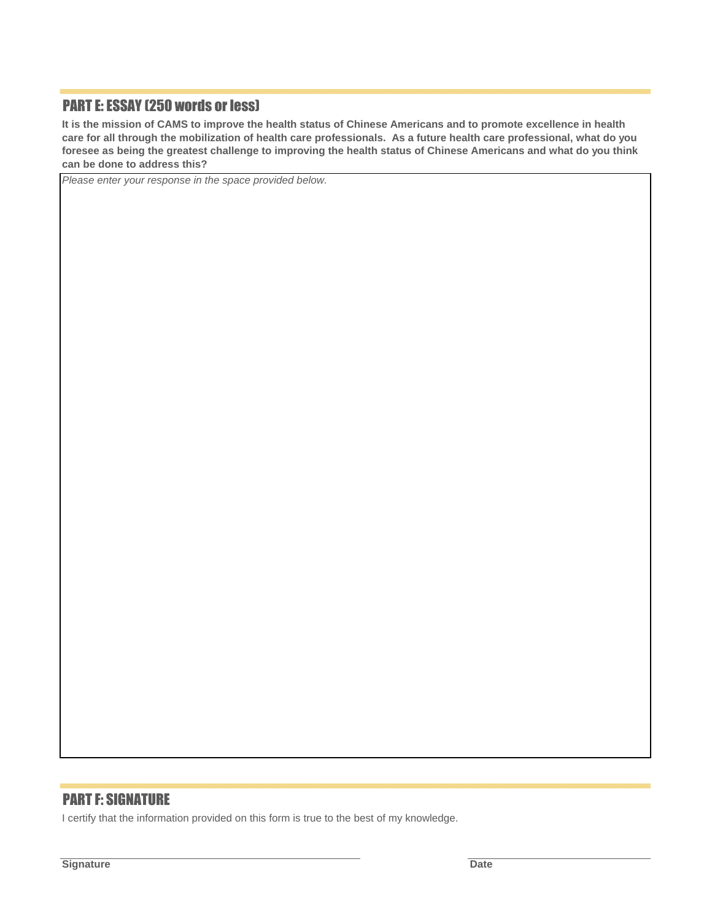## PART E: ESSAY (250 words or less)

**It is the mission of CAMS to improve the health status of Chinese Americans and to promote excellence in health care for all through the mobilization of health care professionals. As a future health care professional, what do you foresee as being the greatest challenge to improving the health status of Chinese Americans and what do you think can be done to address this?**

*Please enter your response in the space provided below.*

### PART F: SIGNATURE

I certify that the information provided on this form is true to the best of my knowledge.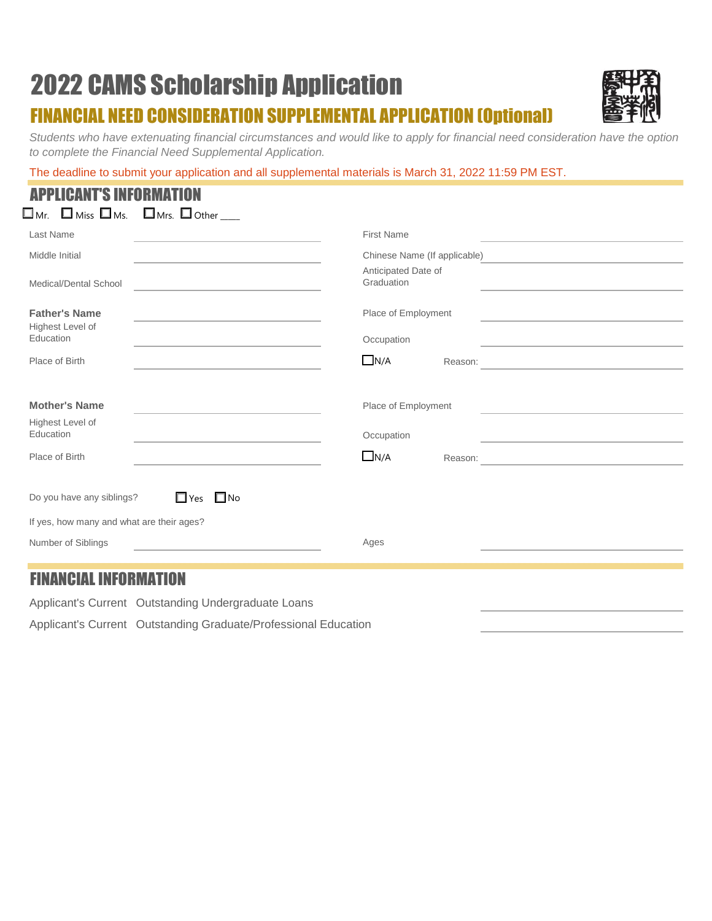# 2022 CAMS Scholarship Application FINANCIAL NEED CONSIDERATION SUPPLEMENTAL APPLICATION (Optional)



*Students who have extenuating financial circumstances and would like to apply for financial need consideration have the option to complete the Financial Need Supplemental Application.* 

The deadline to submit your application and all supplemental materials is March 31, 2022 11:59 PM EST.

|              | <b>APPLICANT'S INFORMATION</b>                                                                                                   |  |
|--------------|----------------------------------------------------------------------------------------------------------------------------------|--|
|              | $\square$ <sub>Mr.</sub> $\square$ <sub>Miss</sub> $\square$ <sub>Ms.</sub> $\square$ <sub>Mrs.</sub> $\square$ <sub>Other</sub> |  |
| $l$ ant Name |                                                                                                                                  |  |

| Last Name                                                                                                              | <b>First Name</b><br>the control of the control of the control of the control of the control of the control of                 |
|------------------------------------------------------------------------------------------------------------------------|--------------------------------------------------------------------------------------------------------------------------------|
| Middle Initial                                                                                                         | Chinese Name (If applicable)<br><u> 1980 - Andrea Andrew Maria (h. 1980).</u>                                                  |
| Medical/Dental School<br><u> 1980 - Andrea Andrew Maria (h. 1980).</u>                                                 | Anticipated Date of<br>Graduation<br>the control of the control of the control of the control of the control of the control of |
| <b>Father's Name</b><br>the control of the control of the control of the control of the control of<br>Highest Level of | Place of Employment<br>the control of the control of the control of the control of the control of                              |
| Education<br>the contract of the contract of the contract of the contract of the contract of                           | Occupation<br>the contract of the contract of the contract of the contract of the contract of                                  |
| Place of Birth                                                                                                         | $\Box$ N/A                                                                                                                     |
|                                                                                                                        |                                                                                                                                |
| <b>Mother's Name</b><br>the control of the control of the control of the control of the control of                     | Place of Employment<br>the control of the control of the control of the control of the control of                              |
| Highest Level of<br>Education<br>the control of the control of the control of the control of the control of            | Occupation<br>the control of the control of the control of the control of the control of the                                   |
| Place of Birth<br>the control of the control of the control of the control of the control of the control of            | $\Box$ N/A                                                                                                                     |
| $\Box$ Yes $\Box$ No<br>Do you have any siblings?                                                                      |                                                                                                                                |
| If yes, how many and what are their ages?                                                                              |                                                                                                                                |
| Number of Siblings<br>the control of the control of the control of the control of the control of                       | Ages                                                                                                                           |
|                                                                                                                        |                                                                                                                                |
| <b>FINANCIAL INFORMATION</b>                                                                                           |                                                                                                                                |

Applicant's Current Outstanding Undergraduate Loans Applicant's Current Outstanding Graduate/Professional Education